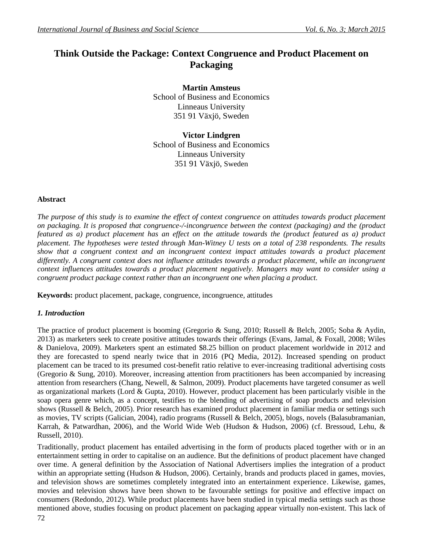# **Think Outside the Package: Context Congruence and Product Placement on Packaging**

**Martin Amsteus** School of Business and Economics Linneaus University 351 91 Växjö, Sweden

**Victor Lindgren** School of Business and Economics Linneaus University 351 91 Växjö, Sweden

# **Abstract**

*The purpose of this study is to examine the effect of context congruence on attitudes towards product placement on packaging. It is proposed that congruence-/-incongruence between the context (packaging) and the (product featured as a) product placement has an effect on the attitude towards the (product featured as a) product placement. The hypotheses were tested through Man-Witney U tests on a total of 238 respondents. The results show that a congruent context and an incongruent context impact attitudes towards a product placement*  differently. A congruent context does not influence attitudes towards a product placement, while an incongruent *context influences attitudes towards a product placement negatively. Managers may want to consider using a congruent product package context rather than an incongruent one when placing a product.*

**Keywords:** product placement, package, congruence, incongruence, attitudes

#### *1. Introduction*

The practice of product placement is booming (Gregorio & Sung, 2010; Russell & Belch, 2005; Soba & Aydin, 2013) as marketers seek to create positive attitudes towards their offerings (Evans, Jamal, & Foxall, 2008; Wiles & Danielova, 2009). Marketers spent an estimated \$8.25 billion on product placement worldwide in 2012 and they are forecasted to spend nearly twice that in 2016 (PQ Media, 2012). Increased spending on product placement can be traced to its presumed cost-benefit ratio relative to ever-increasing traditional advertising costs (Gregorio & Sung, 2010). Moreover, increasing attention from practitioners has been accompanied by increasing attention from researchers (Chang, Newell, & Salmon, 2009). Product placements have targeted consumer as well as organizational markets (Lord & Gupta, 2010). However, product placement has been particularly visible in the soap opera genre which, as a concept, testifies to the blending of advertising of soap products and television shows (Russell & Belch, 2005). Prior research has examined product placement in familiar media or settings such as movies, TV scripts (Galician, 2004), radio programs (Russell & Belch, 2005), blogs, novels (Balasubramanian, Karrah, & Patwardhan, 2006), and the World Wide Web (Hudson & Hudson, 2006) (cf. Bressoud, Lehu, & Russell, 2010).

Traditionally, product placement has entailed advertising in the form of products placed together with or in an entertainment setting in order to capitalise on an audience. But the definitions of product placement have changed over time. A general definition by the Association of National Advertisers implies the integration of a product within an appropriate setting (Hudson & Hudson, 2006). Certainly, brands and products placed in games, movies, and television shows are sometimes completely integrated into an entertainment experience. Likewise, games, movies and television shows have been shown to be favourable settings for positive and effective impact on consumers (Redondo, 2012). While product placements have been studied in typical media settings such as those mentioned above, studies focusing on product placement on packaging appear virtually non-existent. This lack of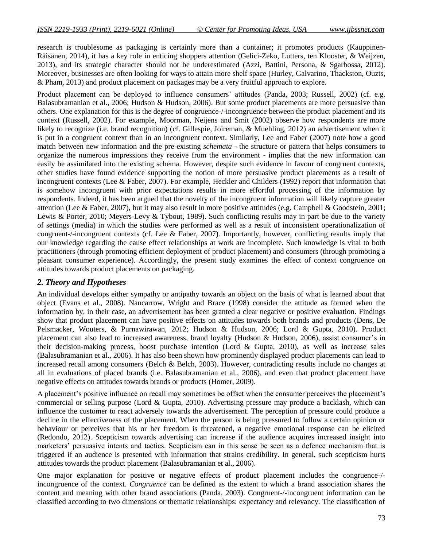research is troublesome as packaging is certainly more than a container; it promotes products (Kauppinen-Räisänen, 2014), it has a key role in enticing shoppers attention (Gelici-Zeko, Lutters, ten Klooster, & Weijzen, 2013), and its strategic character should not be underestimated (Azzi, Battini, Persona, & Sgarbossa, 2012). Moreover, businesses are often looking for ways to attain more shelf space (Hurley, Galvarino, Thackston, Ouzts, & Pham, 2013) and product placement on packages may be a very fruitful approach to explore.

Product placement can be deployed to influence consumers' attitudes (Panda, 2003; Russell, 2002) (cf. e.g. Balasubramanian et al., 2006; Hudson & Hudson, 2006). But some product placements are more persuasive than others. One explanation for this is the degree of congruence-/-incongruence between the product placement and its context (Russell, 2002). For example, Moorman, Neijens and Smit (2002) observe how respondents are more likely to recognize (i.e. brand recognition) (cf. Gillespie, Joireman, & Muehling, 2012) an advertisement when it is put in a congruent context than in an incongruent context. Similarly, Lee and Faber (2007) note how a good match between new information and the pre-existing *schemata* - the structure or pattern that helps consumers to organize the numerous impressions they receive from the environment - implies that the new information can easily be assimilated into the existing schema. However, despite such evidence in favour of congruent contexts, other studies have found evidence supporting the notion of more persuasive product placements as a result of incongruent contexts (Lee & Faber, 2007). For example, Heckler and Childers (1992) report that information that is somehow incongruent with prior expectations results in more effortful processing of the information by respondents. Indeed, it has been argued that the novelty of the incongruent information will likely capture greater attention (Lee & Faber, 2007), but it may also result in more positive attitudes (e.g. Campbell & Goodstein, 2001; Lewis & Porter, 2010; Meyers-Levy & Tybout, 1989). Such conflicting results may in part be due to the variety of settings (media) in which the studies were performed as well as a result of inconsistent operationalization of congruent-/-incongruent contexts (cf. Lee & Faber, 2007). Importantly, however, conflicting results imply that our knowledge regarding the cause effect relationships at work are incomplete. Such knowledge is vital to both practitioners (through promoting efficient deployment of product placement) and consumers (through promoting a pleasant consumer experience). Accordingly, the present study examines the effect of context congruence on attitudes towards product placements on packaging.

# *2. Theory and Hypotheses*

An individual develops either sympathy or antipathy towards an object on the basis of what is learned about that object (Evans et al., 2008). Nancarrow, Wright and Brace (1998) consider the attitude as formed when the information by, in their case, an advertisement has been granted a clear negative or positive evaluation. Findings show that product placement can have positive effects on attitudes towards both brands and products (Dens, De Pelsmacker, Wouters, & Purnawirawan, 2012; Hudson & Hudson, 2006; Lord & Gupta, 2010). Product placement can also lead to increased awareness, brand loyalty (Hudson & Hudson, 2006), assist consumer's in their decision-making process, boost purchase intention (Lord & Gupta, 2010), as well as increase sales (Balasubramanian et al., 2006). It has also been shown how prominently displayed product placements can lead to increased recall among consumers (Belch & Belch, 2003). However, contradicting results include no changes at all in evaluations of placed brands (i.e. Balasubramanian et al., 2006), and even that product placement have negative effects on attitudes towards brands or products (Homer, 2009).

A placement's positive influence on recall may sometimes be offset when the consumer perceives the placement's commercial or selling purpose (Lord & Gupta, 2010). Advertising pressure may produce a backlash, which can influence the customer to react adversely towards the advertisement. The perception of pressure could produce a decline in the effectiveness of the placement. When the person is being pressured to follow a certain opinion or behaviour or perceives that his or her freedom is threatened, a negative emotional response can be elicited (Redondo, 2012). Scepticism towards advertising can increase if the audience acquires increased insight into marketers' persuasive intents and tactics. Scepticism can in this sense be seen as a defence mechanism that is triggered if an audience is presented with information that strains credibility. In general, such scepticism hurts attitudes towards the product placement (Balasubramanian et al., 2006).

One major explanation for positive or negative effects of product placement includes the congruence-/ incongruence of the context. *Congruence* can be defined as the extent to which a brand association shares the content and meaning with other brand associations (Panda, 2003). Congruent-/-incongruent information can be classified according to two dimensions or thematic relationships: expectancy and relevancy. The classification of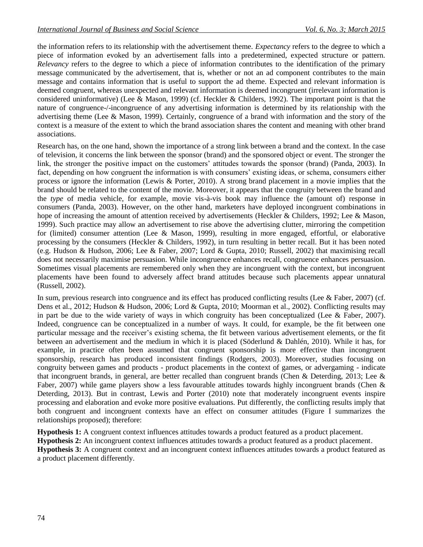the information refers to its relationship with the advertisement theme. *Expectancy* refers to the degree to which a piece of information evoked by an advertisement falls into a predetermined, expected structure or pattern. *Relevancy* refers to the degree to which a piece of information contributes to the identification of the primary message communicated by the advertisement, that is, whether or not an ad component contributes to the main message and contains information that is useful to support the ad theme. Expected and relevant information is deemed congruent, whereas unexpected and relevant information is deemed incongruent (irrelevant information is considered uninformative) (Lee & Mason, 1999) (cf. Heckler & Childers, 1992). The important point is that the nature of congruence-/-incongruence of any advertising information is determined by its relationship with the advertising theme (Lee & Mason, 1999). Certainly, congruence of a brand with information and the story of the context is a measure of the extent to which the brand association shares the content and meaning with other brand associations.

Research has, on the one hand, shown the importance of a strong link between a brand and the context. In the case of television, it concerns the link between the sponsor (brand) and the sponsored object or event. The stronger the link, the stronger the positive impact on the customers' attitudes towards the sponsor (brand) (Panda, 2003). In fact, depending on how congruent the information is with consumers' existing ideas, or schema, consumers either process or ignore the information (Lewis & Porter, 2010). A strong brand placement in a movie implies that the brand should be related to the content of the movie. Moreover, it appears that the congruity between the brand and the *type* of media vehicle, for example, movie vis-à-vis book may influence the (amount of) response in consumers (Panda, 2003). However, on the other hand, marketers have deployed incongruent combinations in hope of increasing the amount of attention received by advertisements (Heckler & Childers, 1992; Lee & Mason, 1999). Such practice may allow an advertisement to rise above the advertising clutter, mirroring the competition for (limited) consumer attention (Lee & Mason, 1999), resulting in more engaged, effortful, or elaborative processing by the consumers (Heckler & Childers, 1992), in turn resulting in better recall. But it has been noted (e.g. Hudson & Hudson, 2006; Lee & Faber, 2007; Lord & Gupta, 2010; Russell, 2002) that maximising recall does not necessarily maximise persuasion. While incongruence enhances recall, congruence enhances persuasion. Sometimes visual placements are remembered only when they are incongruent with the context, but incongruent placements have been found to adversely affect brand attitudes because such placements appear unnatural (Russell, 2002).

In sum, previous research into congruence and its effect has produced conflicting results (Lee & Faber, 2007) (cf. Dens et al., 2012; Hudson & Hudson, 2006; Lord & Gupta, 2010; Moorman et al., 2002). Conflicting results may in part be due to the wide variety of ways in which congruity has been conceptualized (Lee  $&$  Faber, 2007). Indeed, congruence can be conceptualized in a number of ways. It could, for example, be the fit between one particular message and the receiver's existing schema, the fit between various advertisement elements, or the fit between an advertisement and the medium in which it is placed (Söderlund & Dahlén, 2010). While it has, for example, in practice often been assumed that congruent sponsorship is more effective than incongruent sponsorship, research has produced inconsistent findings (Rodgers, 2003). Moreover, studies focusing on congruity between games and products - product placements in the context of games, or advergaming - indicate that incongruent brands, in general, are better recalled than congruent brands (Chen & Deterding, 2013; Lee & Faber, 2007) while game players show a less favourable attitudes towards highly incongruent brands (Chen & Deterding, 2013). But in contrast, Lewis and Porter (2010) note that moderately incongruent events inspire processing and elaboration and evoke more positive evaluations. Put differently, the conflicting results imply that both congruent and incongruent contexts have an effect on consumer attitudes (Figure I summarizes the relationships proposed); therefore:

**Hypothesis 1:** A congruent context influences attitudes towards a product featured as a product placement.

**Hypothesis 2:** An incongruent context influences attitudes towards a product featured as a product placement. **Hypothesis 3:** A congruent context and an incongruent context influences attitudes towards a product featured as a product placement differently.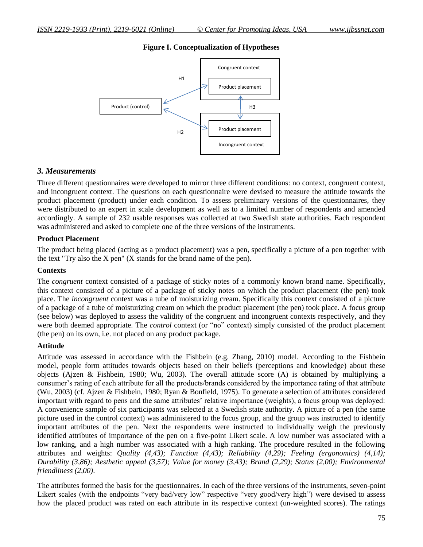# **Figure I. Conceptualization of Hypotheses**



#### *3. Measurements*

Three different questionnaires were developed to mirror three different conditions: no context, congruent context, and incongruent context. The questions on each questionnaire were devised to measure the attitude towards the product placement (product) under each condition. To assess preliminary versions of the questionnaires, they were distributed to an expert in scale development as well as to a limited number of respondents and amended accordingly. A sample of 232 usable responses was collected at two Swedish state authorities. Each respondent was administered and asked to complete one of the three versions of the instruments.

#### **Product Placement**

The product being placed (acting as a product placement) was a pen, specifically a picture of a pen together with the text "Try also the X pen" (X stands for the brand name of the pen).

#### **Contexts**

The *congruent* context consisted of a package of sticky notes of a commonly known brand name. Specifically, this context consisted of a picture of a package of sticky notes on which the product placement (the pen) took place. The *incongruent* context was a tube of moisturizing cream. Specifically this context consisted of a picture of a package of a tube of moisturizing cream on which the product placement (the pen) took place. A focus group (see below) was deployed to assess the validity of the congruent and incongruent contexts respectively, and they were both deemed appropriate. The *control* context (or "no" context) simply consisted of the product placement (the pen) on its own, i.e. not placed on any product package.

#### **Attitude**

Attitude was assessed in accordance with the Fishbein (e.g. Zhang, 2010) model. According to the Fishbein model, people form attitudes towards objects based on their beliefs (perceptions and knowledge) about these objects (Ajzen & Fishbein, 1980; Wu, 2003). The overall attitude score (A) is obtained by multiplying a consumer's rating of each attribute for all the products/brands considered by the importance rating of that attribute (Wu, 2003) (cf. Ajzen & Fishbein, 1980; Ryan & Bonfield, 1975). To generate a selection of attributes considered important with regard to pens and the same attributes' relative importance (weights), a focus group was deployed: A convenience sample of six participants was selected at a Swedish state authority. A picture of a pen (the same picture used in the control context) was administered to the focus group, and the group was instructed to identify important attributes of the pen. Next the respondents were instructed to individually weigh the previously identified attributes of importance of the pen on a five-point Likert scale. A low number was associated with a low ranking, and a high number was associated with a high ranking. The procedure resulted in the following attributes and weights: *Quality (4,43); Function (4,43); Reliability (4,29); Feeling (ergonomics) (4,14); Durability (3,86); Aesthetic appeal (3,57); Value for money (3,43); Brand (2,29); Status (2,00); Environmental friendliness (2,00)*.

The attributes formed the basis for the questionnaires. In each of the three versions of the instruments, seven-point Likert scales (with the endpoints "very bad/very low" respective "very good/very high") were devised to assess how the placed product was rated on each attribute in its respective context (un-weighted scores). The ratings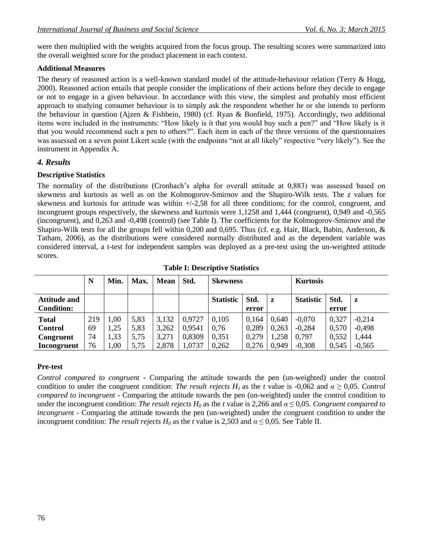were then multiplied with the weights acquired from the focus group. The resulting scores were summarized into the overall weighted score for the product placement in each context.

#### **Additional Measures**

The theory of reasoned action is a well-known standard model of the attitude-behaviour relation (Terry & Hogg, 2000). Reasoned action entails that people consider the implications of their actions before they decide to engage or not to engage in a given behaviour. In accordance with this view, the simplest and probably most efficient approach to studying consumer behaviour is to simply ask the respondent whether he or she intends to perform the behaviour in question (Ajzen & Fishbein, 1980) (cf. Ryan & Bonfield, 1975). Accordingly, two additional items were included in the instruments: "How likely is it that you would buy such a pen?" and "How likely is it that you would recommend such a pen to others?". Each item in each of the three versions of the questionnaires was assessed on a seven point Likert scale (with the endpoints "not at all likely" respective "very likely"). See the instrument in Appendix A.

# *4. Results*

# **Descriptive Statistics**

The normality of the distributions (Cronbach's alpha for overall attitude at 0,883) was assessed based on skewness and kurtosis as well as on the Kolmogorov-Smirnov and the Shapiro-Wilk tests. The *z* values for skewness and kurtosis for attitude was within  $+/-2,58$  for all three conditions; for the control, congruent, and incongruent groups respectively, the skewness and kurtosis were 1,1258 and 1,444 (congruent), 0,949 and -0,565 (incongruent), and 0,263 and -0,498 (control) (see Table I). The coefficients for the Kolmogorov-Smirnov and the Shapiro-Wilk tests for all the groups fell within 0,200 and 0,695. Thus (cf. e.g. Hair, Black, Babin, Anderson, & Tatham, 2006), as the distributions were considered normally distributed and as the dependent variable was considered interval, a t-test for independent samples was deployed as a pre-test using the un-weighted attitude scores.

|                     | N   | Min. | Max. | Mean  | Std.   | <b>Skewness</b>  |       | <b>Kurtosis</b> |                  |       |          |
|---------------------|-----|------|------|-------|--------|------------------|-------|-----------------|------------------|-------|----------|
| <b>Attitude and</b> |     |      |      |       |        | <b>Statistic</b> | Std.  | z               | <b>Statistic</b> | Std.  | z        |
| <b>Condition:</b>   |     |      |      |       |        |                  | error |                 |                  | error |          |
| <b>Total</b>        | 219 | 1,00 | 5,83 | 3,132 | 0,9727 | 0,105            | 0.164 | 0,640           | $-0,070$         | 0,327 | $-0,214$ |
| <b>Control</b>      | 69  | 1,25 | 5.83 | 3,262 | 0,9541 | 0.76             | 0,289 | 0,263           | $-0,284$         | 0,570 | $-0,498$ |
| Congruent           | 74  | 1,33 | 5,75 | 3,271 | 0,8309 | 0,351            | 0,279 | ,258            | 0,797            | 0,552 | 1,444    |
| Incongruent         | 76  | 1,00 | 5,75 | 2,878 | 1,0737 | 0,262            | 0.276 | 0.949           | $-0,308$         | 0,545 | $-0,565$ |

**Table I: Descriptive Statistics**

# **Pre-test**

*Control compared to congruent -* Comparing the attitude towards the pen (un-weighted) under the control condition to under the congruent condition: *The result rejects H<sub>1</sub>* as the *t* value is -0,062 and  $\alpha \ge 0.05$ . *Control compared to incongruent -* Comparing the attitude towards the pen (un-weighted) under the control condition to under the incongruent condition: *The result rejects*  $H_0$  as the *t* value is 2,266 and  $\alpha \le 0.05$ . *Congruent compared to incongruent -* Comparing the attitude towards the pen (un-weighted) under the congruent condition to under the incongruent condition: *The result rejects*  $H_0$  as the *t* value is 2,503 and  $\alpha \le 0.05$ . See Table II.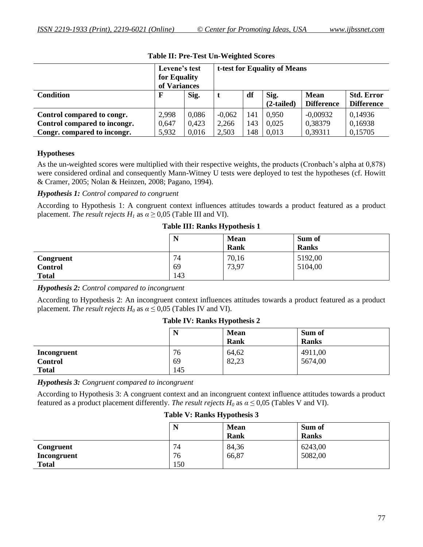|                              | Levene's test<br>for Equality<br>of Variances |       | t-test for Equality of Means |     |                      |                                  |                                        |
|------------------------------|-----------------------------------------------|-------|------------------------------|-----|----------------------|----------------------------------|----------------------------------------|
| <b>Condition</b>             | $\mathbf{F}$                                  | Sig.  |                              | df  | Sig.<br>$(2-tailed)$ | <b>Mean</b><br><b>Difference</b> | <b>Std. Error</b><br><b>Difference</b> |
| Control compared to congr.   | 2,998                                         | 0,086 | $-0.062$                     | 141 | 0,950                | $-0,00932$                       | 0,14936                                |
| Control compared to incongr. | 0,647                                         | 0.423 | 2,266                        | 143 | 0.025                | 0,38379                          | 0,16938                                |
| Congr. compared to incongr.  | 5,932                                         | 0.016 | 2,503                        | 148 | 0,013                | 0,39311                          | 0,15705                                |

#### **Table II: Pre-Test Un-Weighted Scores**

#### **Hypotheses**

As the un-weighted scores were multiplied with their respective weights, the products (Cronbach's alpha at 0,878) were considered ordinal and consequently Mann-Witney U tests were deployed to test the hypotheses (cf. Howitt & Cramer, 2005; Nolan & Heinzen, 2008; Pagano, 1994).

#### *Hypothesis 1: Control compared to congruent*

According to Hypothesis 1: A congruent context influences attitudes towards a product featured as a product placement. *The result rejects*  $H<sub>1</sub>$  as  $\alpha \ge 0.05$  (Table III and VI).

#### **Table III: Ranks Hypothesis 1**

|                | N   | <b>Mean</b><br>Rank | Sum of<br><b>Ranks</b> |
|----------------|-----|---------------------|------------------------|
| Congruent      | 74  | 70,16               | 5192,00                |
| <b>Control</b> | 69  | 73,97               | 5104,00                |
| <b>Total</b>   | 143 |                     |                        |

*Hypothesis 2: Control compared to incongruent*

According to Hypothesis 2: An incongruent context influences attitudes towards a product featured as a product placement. *The result rejects*  $H_0$  as  $\alpha \leq 0.05$  (Tables IV and VI).

#### **Table IV: Ranks Hypothesis 2**

|                | N   | <b>Mean</b><br>Rank | Sum of<br><b>Ranks</b> |
|----------------|-----|---------------------|------------------------|
| Incongruent    | 76  | 64,62               | 4911,00                |
| <b>Control</b> | 69  | 82,23               | 5674,00                |
| <b>Total</b>   | 145 |                     |                        |

*Hypothesis 3: Congruent compared to incongruent*

According to Hypothesis 3: A congruent context and an incongruent context influence attitudes towards a product featured as a product placement differently. *The result rejects*  $H_0$  as  $\alpha \le 0.05$  (Tables V and VI).

#### **Table V: Ranks Hypothesis 3**

|              | T.  | <b>Mean</b><br><b>Rank</b> | Sum of<br><b>Ranks</b> |
|--------------|-----|----------------------------|------------------------|
| Congruent    | 74  | 84,36                      | 6243,00                |
| Incongruent  | 76  | 66,87                      | 5082,00                |
| <b>Total</b> | 150 |                            |                        |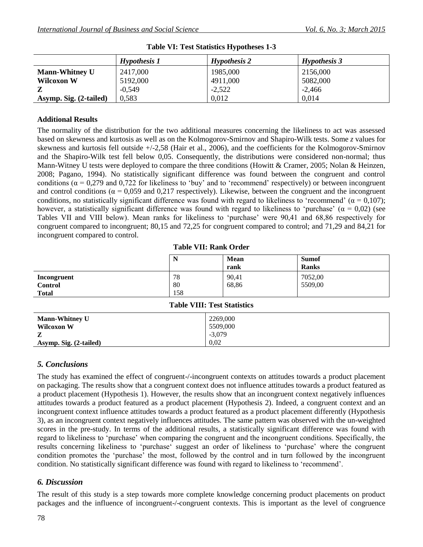|                        | Hypothesis 1 | Hypothesis 2 | Hypothesis 3 |
|------------------------|--------------|--------------|--------------|
| <b>Mann-Whitney U</b>  | 2417,000     | 1985,000     | 2156,000     |
| <b>Wilcoxon W</b>      | 5192,000     | 4911,000     | 5082,000     |
|                        | $-0.549$     | $-2,522$     | $-2,466$     |
| Asymp. Sig. (2-tailed) | 0.583        | 0,012        | 0,014        |

|  |  |  | <b>Table VI: Test Statistics Hypotheses 1-3</b> |  |
|--|--|--|-------------------------------------------------|--|
|--|--|--|-------------------------------------------------|--|

#### **Additional Results**

The normality of the distribution for the two additional measures concerning the likeliness to act was assessed based on skewness and kurtosis as well as on the Kolmogorov-Smirnov and Shapiro-Wilk tests. Some *z* values for skewness and kurtosis fell outside +/-2,58 (Hair et al., 2006), and the coefficients for the Kolmogorov-Smirnov and the Shapiro-Wilk test fell below 0,05. Consequently, the distributions were considered non-normal; thus Mann-Witney U tests were deployed to compare the three conditions (Howitt & Cramer, 2005; Nolan & Heinzen, 2008; Pagano, 1994). No statistically significant difference was found between the congruent and control conditions ( $\alpha$  = 0,279 and 0,722 for likeliness to 'buy' and to 'recommend' respectively) or between incongruent and control conditions ( $\alpha$  = 0,059 and 0,217 respectively). Likewise, between the congruent and the incongruent conditions, no statistically significant difference was found with regard to likeliness to 'recommend' ( $\alpha = 0.107$ ); however, a statistically significant difference was found with regard to likeliness to 'purchase' ( $\alpha = 0.02$ ) (see Tables VII and VIII below). Mean ranks for likeliness to 'purchase' were 90,41 and 68,86 respectively for congruent compared to incongruent; 80,15 and 72,25 for congruent compared to control; and 71,29 and 84,21 for incongruent compared to control.

#### **Table VII: Rank Order**

|                                | <b>A</b> 3 | <b>Mean</b><br>rank | <b>Sumof</b><br><b>Ranks</b> |
|--------------------------------|------------|---------------------|------------------------------|
| Incongruent                    | 78         | 90,41               | 7052,00                      |
| <b>Control</b><br><b>Total</b> | 80<br>158  | 68,86               | 5509,00                      |

#### **Table VIII: Test Statistics**

| <b>Mann-Whitney U</b>  | 2269,000 |
|------------------------|----------|
|                        |          |
| <b>Wilcoxon W</b>      | 5509,000 |
| Z                      | $-3,079$ |
| Asymp. Sig. (2-tailed) | 0.02     |

# *5. Conclusions*

The study has examined the effect of congruent-/-incongruent contexts on attitudes towards a product placement on packaging. The results show that a congruent context does not influence attitudes towards a product featured as a product placement (Hypothesis 1). However, the results show that an incongruent context negatively influences attitudes towards a product featured as a product placement (Hypothesis 2). Indeed, a congruent context and an incongruent context influence attitudes towards a product featured as a product placement differently (Hypothesis 3), as an incongruent context negatively influences attitudes. The same pattern was observed with the un-weighted scores in the pre-study. In terms of the additional results, a statistically significant difference was found with regard to likeliness to 'purchase' when comparing the congruent and the incongruent conditions. Specifically, the results concerning likeliness to 'purchase' suggest an order of likeliness to 'purchase' where the congruent condition promotes the 'purchase' the most, followed by the control and in turn followed by the incongruent condition. No statistically significant difference was found with regard to likeliness to 'recommend'.

# *6. Discussion*

The result of this study is a step towards more complete knowledge concerning product placements on product packages and the influence of incongruent-/-congruent contexts. This is important as the level of congruence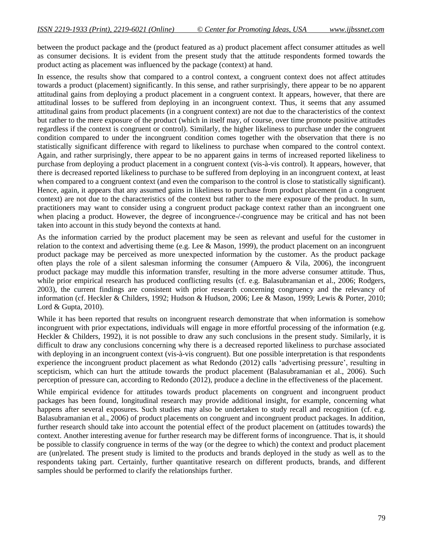between the product package and the (product featured as a) product placement affect consumer attitudes as well as consumer decisions. It is evident from the present study that the attitude respondents formed towards the product acting as placement was influenced by the package (context) at hand.

In essence, the results show that compared to a control context, a congruent context does not affect attitudes towards a product (placement) significantly. In this sense, and rather surprisingly, there appear to be no apparent attitudinal gains from deploying a product placement in a congruent context. It appears, however, that there are attitudinal losses to be suffered from deploying in an incongruent context. Thus, it seems that any assumed attitudinal gains from product placements (in a congruent context) are not due to the characteristics of the context but rather to the mere exposure of the product (which in itself may, of course, over time promote positive attitudes regardless if the context is congruent or control). Similarly, the higher likeliness to purchase under the congruent condition compared to under the incongruent condition comes together with the observation that there is no statistically significant difference with regard to likeliness to purchase when compared to the control context. Again, and rather surprisingly, there appear to be no apparent gains in terms of increased reported likeliness to purchase from deploying a product placement in a congruent context (vis-à-vis control). It appears, however, that there is decreased reported likeliness to purchase to be suffered from deploying in an incongruent context, at least when compared to a congruent context (and even the comparison to the control is close to statistically significant). Hence, again, it appears that any assumed gains in likeliness to purchase from product placement (in a congruent context) are not due to the characteristics of the context but rather to the mere exposure of the product. In sum, practitioners may want to consider using a congruent product package context rather than an incongruent one when placing a product. However, the degree of incongruence-/-congruence may be critical and has not been taken into account in this study beyond the contexts at hand.

As the information carried by the product placement may be seen as relevant and useful for the customer in relation to the context and advertising theme (e.g. Lee  $\&$  Mason, 1999), the product placement on an incongruent product package may be perceived as more unexpected information by the customer. As the product package often plays the role of a silent salesman informing the consumer (Ampuero & Vila, 2006), the incongruent product package may muddle this information transfer, resulting in the more adverse consumer attitude. Thus, while prior empirical research has produced conflicting results (cf. e.g. Balasubramanian et al., 2006; Rodgers, 2003), the current findings are consistent with prior research concerning congruency and the relevancy of information (cf. Heckler & Childers, 1992; Hudson & Hudson, 2006; Lee & Mason, 1999; Lewis & Porter, 2010; Lord & Gupta, 2010).

While it has been reported that results on incongruent research demonstrate that when information is somehow incongruent with prior expectations, individuals will engage in more effortful processing of the information (e.g. Heckler & Childers, 1992), it is not possible to draw any such conclusions in the present study. Similarly, it is difficult to draw any conclusions concerning why there is a decreased reported likeliness to purchase associated with deploying in an incongruent context (vis-à-vis congruent). But one possible interpretation is that respondents experience the incongruent product placement as what Redondo (2012) calls 'advertising pressure', resulting in scepticism, which can hurt the attitude towards the product placement (Balasubramanian et al., 2006). Such perception of pressure can, according to Redondo (2012), produce a decline in the effectiveness of the placement.

While empirical evidence for attitudes towards product placements on congruent and incongruent product packages has been found, longitudinal research may provide additional insight, for example, concerning what happens after several exposures. Such studies may also be undertaken to study recall and recognition (cf. e.g. Balasubramanian et al., 2006) of product placements on congruent and incongruent product packages. In addition, further research should take into account the potential effect of the product placement on (attitudes towards) the context. Another interesting avenue for further research may be different forms of incongruence. That is, it should be possible to classify congruence in terms of the way (or the degree to which) the context and product placement are (un)related. The present study is limited to the products and brands deployed in the study as well as to the respondents taking part. Certainly, further quantitative research on different products, brands, and different samples should be performed to clarify the relationships further.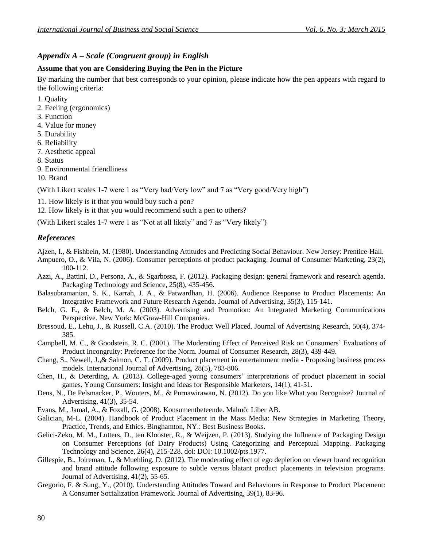# *Appendix A – Scale (Congruent group) in English*

#### **Assume that you are Considering Buying the Pen in the Picture**

By marking the number that best corresponds to your opinion, please indicate how the pen appears with regard to the following criteria:

- 1. Quality
- 2. Feeling (ergonomics)
- 3. Function
- 4. Value for money
- 5. Durability
- 6. Reliability
- 7. Aesthetic appeal
- 8. Status
- 9. Environmental friendliness
- 10. Brand

(With Likert scales 1-7 were 1 as "Very bad/Very low" and 7 as "Very good/Very high")

11. How likely is it that you would buy such a pen?

12. How likely is it that you would recommend such a pen to others?

(With Likert scales 1-7 were 1 as "Not at all likely" and 7 as "Very likely")

# *References*

- Ajzen, I., & Fishbein, M. (1980). Understanding Attitudes and Predicting Social Behaviour. New Jersey: Prentice-Hall.
- Ampuero, O., & Vila, N. (2006). Consumer perceptions of product packaging. Journal of Consumer Marketing, 23(2), 100-112.
- Azzi, A., Battini, D., Persona, A., & Sgarbossa, F. (2012). Packaging design: general framework and research agenda. Packaging Technology and Science, 25(8), 435-456.
- Balasubramanian, S. K., Karrah, J. A., & Patwardhan, H. (2006). Audience Response to Product Placements: An Integrative Framework and Future Research Agenda. Journal of Advertising, 35(3), 115-141.
- Belch, G. E., & Belch, M. A. (2003). Advertising and Promotion: An Integrated Marketing Communications Perspective. New York: McGraw-Hill Companies.
- Bressoud, E., Lehu, J., & Russell, C.A. (2010). The Product Well Placed. Journal of Advertising Research, 50(4), 374- 385.
- Campbell, M. C., & Goodstein, R. C. (2001). The Moderating Effect of Perceived Risk on Consumers' Evaluations of Product Incongruity: Preference for the Norm. Journal of Consumer Research, 28(3), 439-449.
- Chang, S., Newell, J.,& Salmon, C. T. (2009). Product placement in entertainment media Proposing business process models. International Journal of Advertising, 28(5), 783-806.
- Chen, H., & Deterding, A. (2013). College-aged young consumers' interpretations of product placement in social games. Young Consumers: Insight and Ideas for Responsible Marketers, 14(1), 41-51.
- Dens, N., De Pelsmacker, P., Wouters, M., & Purnawirawan, N. (2012). Do you like What you Recognize? Journal of Advertising, 41(3), 35-54.
- Evans, M., Jamal, A., & Foxall, G. (2008). Konsumentbeteende. Malmö: Liber AB.
- Galician, M-L. (2004). Handbook of Product Placement in the Mass Media: New Strategies in Marketing Theory, Practice, Trends, and Ethics. Binghamton, NY.: Best Business Books.
- Gelici-Zeko, M. M., Lutters, D., ten Klooster, R., & Weijzen, P. (2013). Studying the Influence of Packaging Design on Consumer Perceptions (of Dairy Products) Using Categorizing and Perceptual Mapping. Packaging Technology and Science, 26(4), 215-228. doi: DOI: 10.1002/pts.1977.
- Gillespie, B., Joireman, J., & Muehling, D. (2012). The moderating effect of ego depletion on viewer brand recognition and brand attitude following exposure to subtle versus blatant product placements in television programs. Journal of Advertising, 41(2), 55-65.
- Gregorio, F. & Sung, Y., (2010). Understanding Attitudes Toward and Behaviours in Response to Product Placement: A Consumer Socialization Framework. Journal of Advertising, 39(1), 83-96.